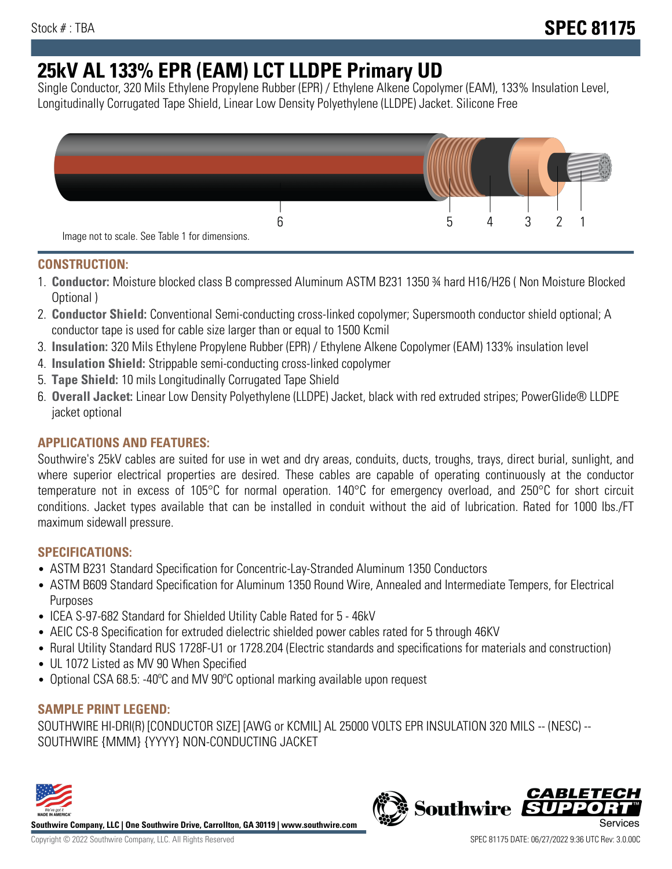# **25kV AL 133% EPR (EAM) LCT LLDPE Primary UD**

Single Conductor, 320 Mils Ethylene Propylene Rubber (EPR) / Ethylene Alkene Copolymer (EAM), 133% Insulation Level, Longitudinally Corrugated Tape Shield, Linear Low Density Polyethylene (LLDPE) Jacket. Silicone Free



## **CONSTRUCTION:**

- 1. **Conductor:** Moisture blocked class B compressed Aluminum ASTM B231 1350 ¾ hard H16/H26 ( Non Moisture Blocked Optional )
- 2. **Conductor Shield:** Conventional Semi-conducting cross-linked copolymer; Supersmooth conductor shield optional; A conductor tape is used for cable size larger than or equal to 1500 Kcmil
- 3. **Insulation:** 320 Mils Ethylene Propylene Rubber (EPR) / Ethylene Alkene Copolymer (EAM) 133% insulation level
- 4. **Insulation Shield:** Strippable semi-conducting cross-linked copolymer
- 5. **Tape Shield:** 10 mils Longitudinally Corrugated Tape Shield
- 6. **Overall Jacket:** Linear Low Density Polyethylene (LLDPE) Jacket, black with red extruded stripes; PowerGlide® LLDPE jacket optional

# **APPLICATIONS AND FEATURES:**

Southwire's 25kV cables are suited for use in wet and dry areas, conduits, ducts, troughs, trays, direct burial, sunlight, and where superior electrical properties are desired. These cables are capable of operating continuously at the conductor temperature not in excess of 105°C for normal operation. 140°C for emergency overload, and 250°C for short circuit conditions. Jacket types available that can be installed in conduit without the aid of lubrication. Rated for 1000 lbs./FT maximum sidewall pressure.

### **SPECIFICATIONS:**

- ASTM B231 Standard Specification for Concentric-Lay-Stranded Aluminum 1350 Conductors
- ASTM B609 Standard Specification for Aluminum 1350 Round Wire, Annealed and Intermediate Tempers, for Electrical Purposes
- ICEA S-97-682 Standard for Shielded Utility Cable Rated for 5 46kV
- AEIC CS-8 Specification for extruded dielectric shielded power cables rated for 5 through 46KV
- Rural Utility Standard RUS 1728F-U1 or 1728.204 (Electric standards and specifications for materials and construction)
- UL 1072 Listed as MV 90 When Specified
- Optional CSA 68.5: -40ºC and MV 90ºC optional marking available upon request

### **SAMPLE PRINT LEGEND:**

SOUTHWIRE HI-DRI(R) [CONDUCTOR SIZE] [AWG or KCMIL] AL 25000 VOLTS EPR INSULATION 320 MILS -- (NESC) -- SOUTHWIRE {MMM} {YYYY} NON-CONDUCTING JACKET



**Southwire Company, LLC | One Southwire Drive, Carrollton, GA 30119 | www.southwire.com**